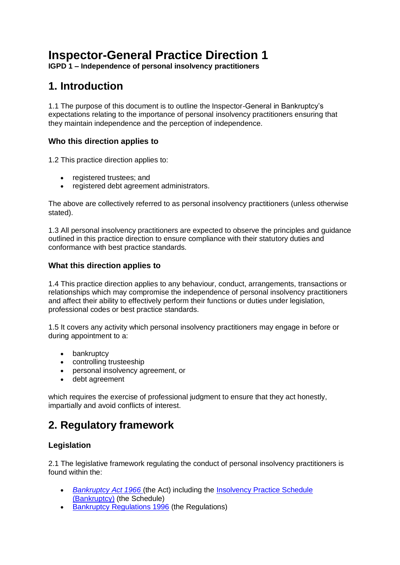# **Inspector-General Practice Direction 1**

**IGPD 1 – Independence of personal insolvency practitioners**

## **1. Introduction**

1.1 The purpose of this document is to outline the Inspector-General in Bankruptcy's expectations relating to the importance of personal insolvency practitioners ensuring that they maintain independence and the perception of independence.

### **Who this direction applies to**

1.2 This practice direction applies to:

- registered trustees; and
- registered debt agreement administrators.

The above are collectively referred to as personal insolvency practitioners (unless otherwise stated).

1.3 All personal insolvency practitioners are expected to observe the principles and guidance outlined in this practice direction to ensure compliance with their statutory duties and conformance with best practice standards.

### **What this direction applies to**

1.4 This practice direction applies to any behaviour, conduct, arrangements, transactions or relationships which may compromise the independence of personal insolvency practitioners and affect their ability to effectively perform their functions or duties under legislation, professional codes or best practice standards.

1.5 It covers any activity which personal insolvency practitioners may engage in before or during appointment to a:

- bankruptcy
- controlling trusteeship
- personal insolvency agreement, or
- debt agreement

which requires the exercise of professional judgment to ensure that they act honestly, impartially and avoid conflicts of interest.

## **2. Regulatory framework**

## **Legislation**

2.1 The legislative framework regulating the conduct of personal insolvency practitioners is found within the:

- *[Bankruptcy Act 1966](https://www.legislation.gov.au/current/C2017C00061)* (the Act) including the [Insolvency Practice Schedule](http://www.austlii.edu.au/au/legis/cth/num_act/ilra2016251/sch2.html)  [\(Bankruptcy\)](http://www.austlii.edu.au/au/legis/cth/num_act/ilra2016251/sch2.html) (the Schedule)
- [Bankruptcy Regulations 1996](https://www.legislation.gov.au/current/F2017C00189) (the Regulations)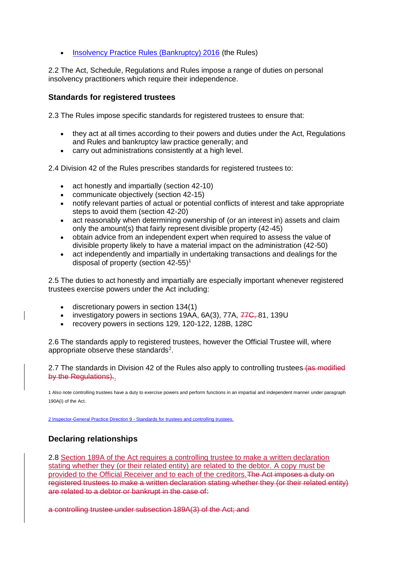• [Insolvency Practice Rules \(Bankruptcy\) 2016](https://www.legislation.gov.au/current/F2016L02004) (the Rules)

2.2 The Act, Schedule, Regulations and Rules impose a range of duties on personal insolvency practitioners which require their independence.

### **Standards for registered trustees**

2.3 The Rules impose specific standards for registered trustees to ensure that:

- they act at all times according to their powers and duties under the Act, Regulations and Rules and bankruptcy law practice generally; and
- carry out administrations consistently at a high level.

2.4 Division 42 of the Rules prescribes standards for registered trustees to:

- act honestly and impartially (section 42-10)
- communicate objectively (section 42-15)
- notify relevant parties of actual or potential conflicts of interest and take appropriate steps to avoid them (section 42-20)
- act reasonably when determining ownership of (or an interest in) assets and claim only the amount(s) that fairly represent divisible property (42-45)
- obtain advice from an independent expert when required to assess the value of divisible property likely to have a material impact on the administration (42-50)
- act independently and impartially in undertaking transactions and dealings for the disposal of property (section 42-55)<sup>1</sup>

2.5 The duties to act honestly and impartially are especially important whenever registered trustees exercise powers under the Act including:

- discretionary powers in section 134(1)
- investigatory powers in sections 19AA, 6A(3), 77A, 77C, 81, 139U
- recovery powers in sections 129, 120-122, 128B, 128C

2.6 The standards apply to registered trustees, however the Official Trustee will, where appropriate observe these standards<sup>2</sup>.

2.7 The standards in Division 42 of the Rules also apply to controlling trustees (as modified by the Regulations)..

1 Also note controlling trustees have a duty to exercise powers and perform functions in an impartial and independent manner under paragraph 190A(i) of the Act.

2 Inspector-General Practice Direction 9 - [Standards for trustees and controlling trustees.](https://www.afsa.gov.au/about-us/practices/inspector-general-practice-directions/d9-standards-trustees-and-controlling-trustees)

### **Declaring relationships**

2.8 Section 189A of the Act requires a controlling trustee to make a written declaration stating whether they (or their related entity) are related to the debtor. A copy must be provided to the Official Receiver and to each of the creditors.The Act imposes a duty on registered trustees to make a written declaration stating whether they (or their related entity) are related to a debtor or bankrupt in the case of:

a controlling trustee under subsection 189A(3) of the Act; and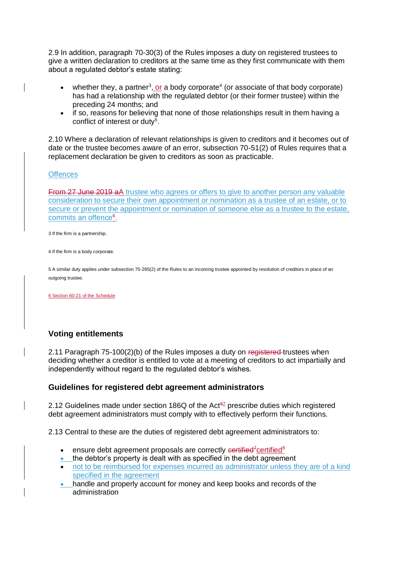2.9 In addition, paragraph 70-30(3) of the Rules imposes a duty on registered trustees to give a written declaration to creditors at the same time as they first communicate with them about a regulated debtor's estate stating:

- whether they, a partner<sup>3</sup>, or a body corporate<sup>4</sup> (or associate of that body corporate) has had a relationship with the regulated debtor (or their former trustee) within the preceding 24 months; and
- if so, reasons for believing that none of those relationships result in them having a conflict of interest or duty<sup>5</sup>.

2.10 Where a declaration of relevant relationships is given to creditors and it becomes out of date or the trustee becomes aware of an error, subsection 70-51(2) of Rules requires that a replacement declaration be given to creditors as soon as practicable.

#### **Offences**

**From 27 June 2019 aA** trustee who agrees or offers to give to another person any valuable consideration to secure their own appointment or nomination as a trustee of an estate, or to secure or prevent the appointment or nomination of someone else as a trustee to the estate, commits an offence<sup>6</sup>.

3 If the firm is a partnership.

4 If the firm is a body corporate.

5 A similar duty applies under subsection 75-265(2) of the Rules to an incoming trustee appointed by resolution of creditors in place of an outgoing trustee.

6 Section 60-21 of the Schedule

### **Voting entitlements**

2.11 Paragraph 75-100(2)(b) of the Rules imposes a duty on registered trustees when deciding whether a creditor is entitled to vote at a meeting of creditors to act impartially and independently without regard to the regulated debtor's wishes.

### **Guidelines for registered debt agreement administrators**

2.12 Guidelines made under section 186Q of the Act $\frac{67}{2}$  prescribe duties which registered debt agreement administrators must comply with to effectively perform their functions.

2.13 Central to these are the duties of registered debt agreement administrators to:

- ensure debt agreement proposals are correctly  $\epsilon$ ertified<sup>7</sup>certified<sup>8</sup>
- the debtor's property is dealt with as specified in the debt agreement
- not to be reimbursed for expenses incurred as administrator unless they are of a kind specified in the agreement
- handle and properly account for money and keep books and records of the administration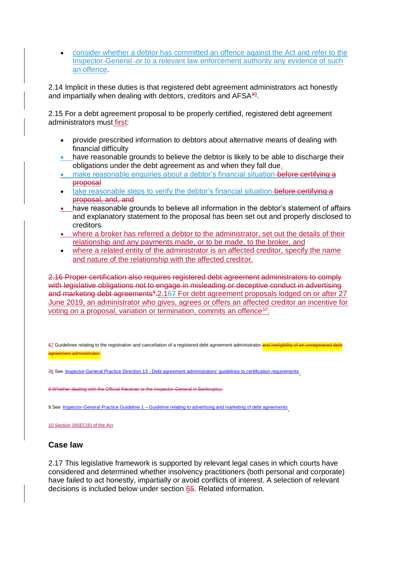consider whether a debtor has committed an offence against the Act and refer to the Inspector-General or to a relevant law enforcement authority any evidence of such an offence.

2.14 Implicit in these duties is that registered debt agreement administrators act honestly and impartially when dealing with debtors, creditors and AFSA<sup>89</sup>.

2.15 For a debt agreement proposal to be properly certified, registered debt agreement administrators must first:

- provide prescribed information to debtors about alternative means of dealing with financial difficulty
- have reasonable grounds to believe the debtor is likely to be able to discharge their obligations under the debt agreement as and when they fall due,
- make reasonable enquiries about a debtor's financial situation before certifying a proposal
- take reasonable steps to verify the debtor's financial situation before certifying a proposal, and, and
- have reasonable grounds to believe all information in the debtor's statement of affairs and explanatory statement to the proposal has been set out and properly disclosed to creditors.
- where a broker has referred a debtor to the administrator, set out the details of their relationship and any payments made, or to be made, to the broker, and
- where a related entity of the administrator is an affected creditor, specify the name and nature of the relationship with the affected creditor.

2.16 Proper certification also requires registered debt agreement administrators to comply with legislative obligations not to engage in misleading or deceptive conduct in advertising and marketing debt agreements<sup>9</sup>-2.167 For debt agreement proposals lodged on or after 27 June 2019, an administrator who gives, agrees or offers an affected creditor an incentive for voting on a proposal, variation or termination, commits an offence<sup>10</sup>.

67 Guidelines relating to the registration and cancellation of a registered debt agreement administrator and ineligibility agreement administrator.

78 See Inspector-General Practice Direction 13 - [Debt agreement administrators' guidelines to certification requirements](https://www.afsa.gov.au/about-us/practices/inspector-general-practice-directions/inspector-general-practice-direction-13) .

dealing with the Official Receiver or the Inspector-General in Bankruptcy

9 See Inspector-General Practice Guideline 1 – [Guideline relating to advertising and marketing of debt agreements](https://www.afsa.gov.au/about-us/practices/inspector-general-practice-guideline-1) .

10 Section 185EC(6) of the Act

### **Case law**

2.17 This legislative framework is supported by relevant legal cases in which courts have considered and determined whether insolvency practitioners (both personal and corporate) have failed to act honestly, impartially or avoid conflicts of interest. A selection of relevant decisions is included below under section 65. Related information.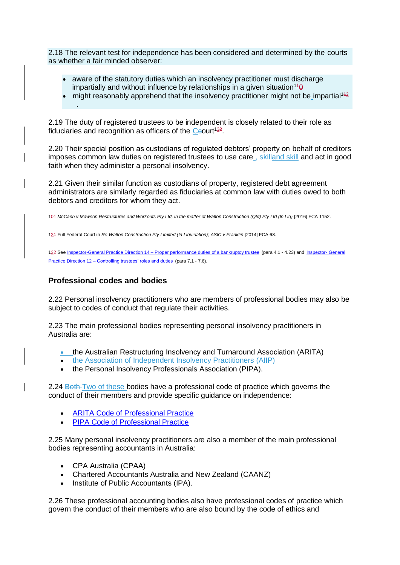2.18 The relevant test for independence has been considered and determined by the courts as whether a fair minded observer:

- aware of the statutory duties which an insolvency practitioner must discharge impartially and without influence by relationships in a given situation<sup>11</sup><sup>0</sup>
- might reasonably apprehend that the insolvency practitioner might not be impartial<sup>142</sup> .

2.19 The duty of registered trustees to be independent is closely related to their role as fiduciaries and recognition as officers of the  $C$ eourt<sup>132</sup>.

2.20 Their special position as custodians of regulated debtors' property on behalf of creditors imposes common law duties on registered trustees to use care <del>, skilland</del> skill and act in good faith when they administer a personal insolvency.

2.21 Given their similar function as custodians of property, registered debt agreement administrators are similarly regarded as fiduciaries at common law with duties owed to both debtors and creditors for whom they act.

101 McCann v Mawson Restructures and Workouts Pty Ltd, in the matter of Walton Construction (Qld) Pty Ltd (In Liq) [2016] FCA 1152.

124 Full Federal Court in *Re Walton Construction Pty Limited (In Liquidation)*; ASIC v Franklin [2014] FCA 68.

132 See Inspector-General Practice Direction 14 – [Proper performance duties of a bankruptcy trustee](https://www.afsa.gov.au/about-us/practices/inspector-general-practice-directions/inspector-general-practice-direction-14) (para 4.1 - 4.23) and [Inspector-](https://www.afsa.gov.au/about-us/practices/inspector-general-practice-directions/inspector-general-practice-direction-12) General Practice Direction 12 – [Controlling trustees' roles and duties](https://www.afsa.gov.au/about-us/practices/inspector-general-practice-directions/inspector-general-practice-direction-12) (para 7.1 - 7.6).

### **Professional codes and bodies**

2.22 Personal insolvency practitioners who are members of professional bodies may also be subject to codes of conduct that regulate their activities.

2.23 The main professional bodies representing personal insolvency practitioners in Australia are:

- the Australian Restructuring Insolvency and Turnaround Association (ARITA)
- the Association of Independent Insolvency Practitioners (AIIP)
- the Personal Insolvency Professionals Association (PIPA).

2.24 Both Two of these bodies have a professional code of practice which governs the conduct of their members and provide specific guidance on independence:

- [ARITA Code of Professional Practice](https://www.arita.com.au/ARITA/For_members/code-of-professional-practice.aspx)
- **[PIPA Code of Professional Practice](https://www.pipa.net.au/about/corporate-governance/code-of-conduct.html)**

2.25 Many personal insolvency practitioners are also a member of the main professional bodies representing accountants in Australia:

- CPA Australia (CPAA)
- Chartered Accountants Australia and New Zealand (CAANZ)
- Institute of Public Accountants (IPA).

2.26 These professional accounting bodies also have professional codes of practice which govern the conduct of their members who are also bound by the code of ethics and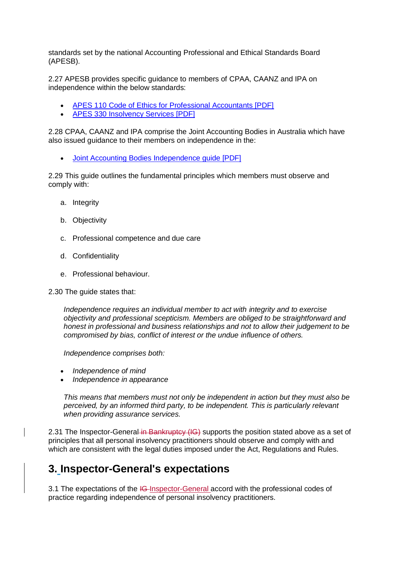standards set by the national Accounting Professional and Ethical Standards Board (APESB).

2.27 APESB provides specific guidance to members of CPAA, CAANZ and IPA on independence within the below standards:

- [APES 110 Code of Ethics for Professional Accountants \[PDF\]](http://www.apesb.org.au/uploads/standards/apesb_standards/standard1.pdf)
- [APES 330 Insolvency Services \[PDF\]](http://www.apesb.org.au/uploads/standards/apesb_standards/13092014111513p5.pdf)

2.28 CPAA, CAANZ and IPA comprise the Joint Accounting Bodies in Australia which have also issued guidance to their members on independence in the:

[Joint Accounting Bodies Independence guide \[PDF\]](https://www.cpaaustralia.com.au/~/media/corporate/allfiles/document/professional-resources/auditing-assurance/independence-guide.pdf?la=en)

2.29 This guide outlines the fundamental principles which members must observe and comply with:

- a. Integrity
- b. Objectivity
- c. Professional competence and due care
- d. Confidentiality
- e. Professional behaviour.

### 2.30 The guide states that:

*Independence requires an individual member to act with integrity and to exercise objectivity and professional scepticism. Members are obliged to be straightforward and honest in professional and business relationships and not to allow their judgement to be compromised by bias, conflict of interest or the undue influence of others.*

*Independence comprises both:*

- *Independence of mind*
- *Independence in appearance*

*This means that members must not only be independent in action but they must also be perceived, by an informed third party, to be independent. This is particularly relevant when providing assurance services.*

2.31 The Inspector-General in Bankruptcy (IG) supports the position stated above as a set of principles that all personal insolvency practitioners should observe and comply with and which are consistent with the legal duties imposed under the Act, Regulations and Rules.

## **3. Inspector-General's expectations**

3.1 The expectations of the IG-Inspector-General accord with the professional codes of practice regarding independence of personal insolvency practitioners.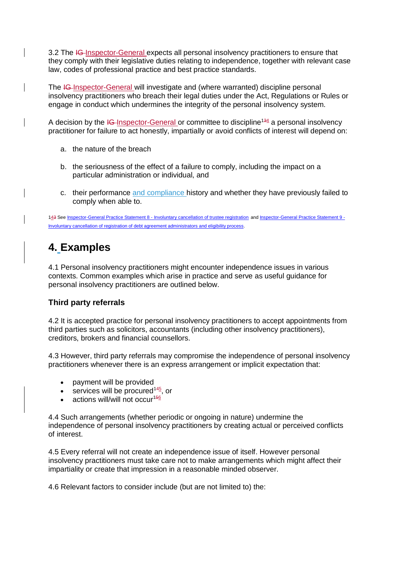3.2 The IG-Inspector-General expects all personal insolvency practitioners to ensure that they comply with their legislative duties relating to independence, together with relevant case law, codes of professional practice and best practice standards.

The IG-Inspector-General will investigate and (where warranted) discipline personal insolvency practitioners who breach their legal duties under the Act, Regulations or Rules or engage in conduct which undermines the integrity of the personal insolvency system.

A decision by the  $I\text{G-Inspector-General or committee to discipline}^{134}$  a personal insolvency practitioner for failure to act honestly, impartially or avoid conflicts of interest will depend on:

- a. the nature of the breach
- b. the seriousness of the effect of a failure to comply, including the impact on a particular administration or individual, and
- c. their performance and compliance history and whether they have previously failed to comply when able to.

143 See Inspector-General Practice Statement 8 - [Involuntary cancellation of trustee registration](https://www.afsa.gov.au/about-us/practices/inspector-general-practice-statements/inspector-general-practice-statement-8) and [Inspector-General Practice Statement 9 -](https://www.afsa.gov.au/about-us/practices/inspector-general-practice-statements/inspector-general-practice-statement-9) [Involuntary cancellation of registration of debt agreement administrators and eligibility process.](https://www.afsa.gov.au/about-us/practices/inspector-general-practice-statements/inspector-general-practice-statement-9)

## **4. Examples**

4.1 Personal insolvency practitioners might encounter independence issues in various contexts. Common examples which arise in practice and serve as useful guidance for personal insolvency practitioners are outlined below.

### **Third party referrals**

4.2 It is accepted practice for personal insolvency practitioners to accept appointments from third parties such as solicitors, accountants (including other insolvency practitioners), creditors, brokers and financial counsellors.

4.3 However, third party referrals may compromise the independence of personal insolvency practitioners whenever there is an express arrangement or implicit expectation that:

- payment will be provided
- services will be procured<sup>145</sup>, or
- actions will/will not occur<sup>156</sup>

4.4 Such arrangements (whether periodic or ongoing in nature) undermine the independence of personal insolvency practitioners by creating actual or perceived conflicts of interest.

4.5 Every referral will not create an independence issue of itself. However personal insolvency practitioners must take care not to make arrangements which might affect their impartiality or create that impression in a reasonable minded observer.

4.6 Relevant factors to consider include (but are not limited to) the: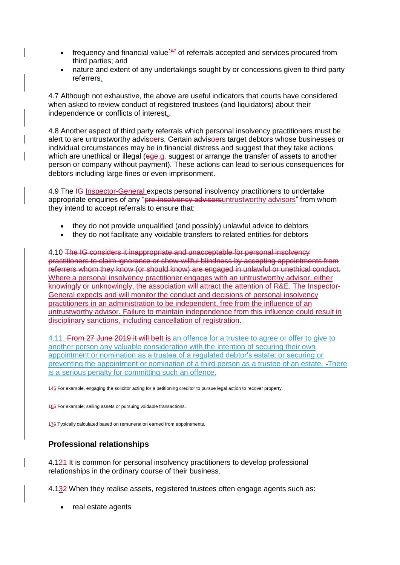- frequency and financial value<sup>167</sup> of referrals accepted and services procured from third parties; and
- nature and extent of any undertakings sought by or concessions given to third party referrers.

4.7 Although not exhaustive, the above are useful indicators that courts have considered when asked to review conduct of registered trustees (and liquidators) about their independence or conflicts of interest.

4.8 Another aspect of third party referrals which personal insolvency practitioners must be alert to are untrustworthy advisoers. Certain advisoers target debtors whose businesses or individual circumstances may be in financial distress and suggest that they take actions which are unethical or illegal (ege.g. suggest or arrange the transfer of assets to another person or company without payment). These actions can lead to serious consequences for debtors including large fines or even imprisonment.

4.9 The IG-Inspector-General expects personal insolvency practitioners to undertake appropriate enquiries of any "pre-insolvency advisersuntrustworthy advisors" from whom they intend to accept referrals to ensure that:

- they do not provide unqualified (and possibly) unlawful advice to debtors
- they do not facilitate any voidable transfers to related entities for debtors

4.10 The IG considers it inappropriate and unacceptable for personal insolvency practitioners to claim ignorance or show willful blindness by accepting appointments from referrers whom they know (or should know) are engaged in unlawful or unethical conduct. Where a personal insolvency practitioner engages with an untrustworthy advisor, either knowingly or unknowingly, the association will attract the attention of R&E. The Inspector-General expects and will monitor the conduct and decisions of personal insolvency practitioners in an administration to be independent, free from the influence of an untrustworthy advisor. Failure to maintain independence from this influence could result in disciplinary sanctions, including cancellation of registration.

4.11 From 27 June 2019 it will belt is an offence for a trustee to agree or offer to give to another person any valuable consideration with the intention of securing their own appointment or nomination as a trustee of a regulated debtor's estate; or securing or preventing the appointment or nomination of a third person as a trustee of an estate. There is a serious penalty for committing such an offence.

145 For example, engaging the solicitor acting for a petitioning creditor to pursue legal action to recover property.

165 For example, selling assets or pursuing voidable transactions.

176 Typically calculated based on remuneration earned from appointments.

## **Professional relationships**

4.121 It is common for personal insolvency practitioners to develop professional relationships in the ordinary course of their business.

4.132 When they realise assets, registered trustees often engage agents such as:

• real estate agents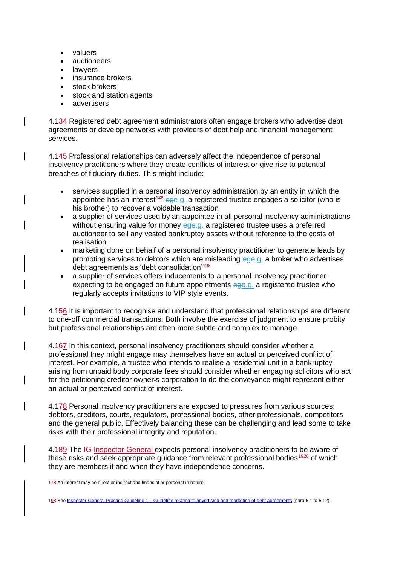- valuers
- auctioneers
- lawyers
- insurance brokers
- stock brokers
- stock and station agents
- advertisers

4.134 Registered debt agreement administrators often engage brokers who advertise debt agreements or develop networks with providers of debt help and financial management services.

4.145 Professional relationships can adversely affect the independence of personal insolvency practitioners where they create conflicts of interest or give rise to potential breaches of fiduciary duties. This might include:

- services supplied in a personal insolvency administration by an entity in which the appointee has an interest<sup>178</sup> ege.g. a registered trustee engages a solicitor (who is his brother) to recover a voidable transaction
- a supplier of services used by an appointee in all personal insolvency administrations without ensuring value for money ege.g. a registered trustee uses a preferred auctioneer to sell any vested bankruptcy assets without reference to the costs of realisation
- marketing done on behalf of a personal insolvency practitioner to generate leads by promoting services to debtors which are misleading ege.g. a broker who advertises debt agreements as 'debt consolidation'<sup>198</sup>
- a supplier of services offers inducements to a personal insolvency practitioner expecting to be engaged on future appointments ege.g. a registered trustee who regularly accepts invitations to VIP style events.

4.156 It is important to recognise and understand that professional relationships are different to one-off commercial transactions. Both involve the exercise of judgment to ensure probity but professional relationships are often more subtle and complex to manage.

4.167 In this context, personal insolvency practitioners should consider whether a professional they might engage may themselves have an actual or perceived conflict of interest. For example, a trustee who intends to realise a residential unit in a bankruptcy arising from unpaid body corporate fees should consider whether engaging solicitors who act for the petitioning creditor owner's corporation to do the conveyance might represent either an actual or perceived conflict of interest.

4.178 Personal insolvency practitioners are exposed to pressures from various sources: debtors, creditors, courts, regulators, professional bodies, other professionals, competitors and the general public. Effectively balancing these can be challenging and lead some to take risks with their professional integrity and reputation.

4.189 The IG Inspector-General expects personal insolvency practitioners to be aware of these risks and seek appropriate guidance from relevant professional bodies<sup>4920</sup> of which they are members if and when they have independence concerns.

178 An interest may be direct or indirect and financial or personal in nature.

198 See Inspector-General Practice Guideline 1 – [Guideline relating to advertising and marketing of debt agreements](https://www.afsa.gov.au/about-us/practices/inspector-general-practice-guideline-1) (para 5.1 to 5.12).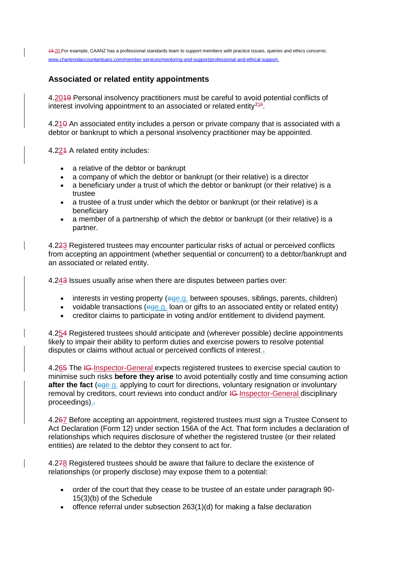19 20 For example, CAANZ has a professional standards team to support members with practice issues, queries and ethics concerns: [www.charteredaccountantsanz.com/member-services/mentoring-and-support/professional-and-ethical-support.](https://www.charteredaccountantsanz.com/member-services/mentoring-and-support/professional-and-ethical-support)

### **Associated or related entity appointments**

4.2019 Personal insolvency practitioners must be careful to avoid potential conflicts of interest involving appointment to an associated or related entity $^{210}$ .

4.210 An associated entity includes a person or private company that is associated with a debtor or bankrupt to which a personal insolvency practitioner may be appointed.

4.224 A related entity includes:

- a relative of the debtor or bankrupt
- a company of which the debtor or bankrupt (or their relative) is a director
- a beneficiary under a trust of which the debtor or bankrupt (or their relative) is a trustee
- a trustee of a trust under which the debtor or bankrupt (or their relative) is a beneficiary
- a member of a partnership of which the debtor or bankrupt (or their relative) is a partner.

4.223 Registered trustees may encounter particular risks of actual or perceived conflicts from accepting an appointment (whether sequential or concurrent) to a debtor/bankrupt and an associated or related entity.

4.243 Issues usually arise when there are disputes between parties over:

- $\bullet$  interests in vesting property (ege.g. between spouses, siblings, parents, children)
- voidable transactions (ege.g. loan or gifts to an associated entity or related entity)
- creditor claims to participate in voting and/or entitlement to dividend payment.

4.254 Registered trustees should anticipate and (wherever possible) decline appointments likely to impair their ability to perform duties and exercise powers to resolve potential disputes or claims without actual or perceived conflicts of interest.,

4.265 The IG-Inspector-General expects registered trustees to exercise special caution to minimise such risks **before they arise** to avoid potentially costly and time consuming action **after the fact** (ege.g. applying to court for directions, voluntary resignation or involuntary removal by creditors, court reviews into conduct and/or IG-Inspector-General disciplinary proceedings). $\frac{1}{2}$ 

4.267 Before accepting an appointment, registered trustees must sign a Trustee Consent to Act Declaration (Form 12) under section 156A of the Act. That form includes a declaration of relationships which requires disclosure of whether the registered trustee (or their related entities) are related to the debtor they consent to act for.

4.278 Registered trustees should be aware that failure to declare the existence of relationships (or properly disclose) may expose them to a potential:

- order of the court that they cease to be trustee of an estate under paragraph 90- 15(3)(b) of the Schedule
- offence referral under subsection  $263(1)(d)$  for making a false declaration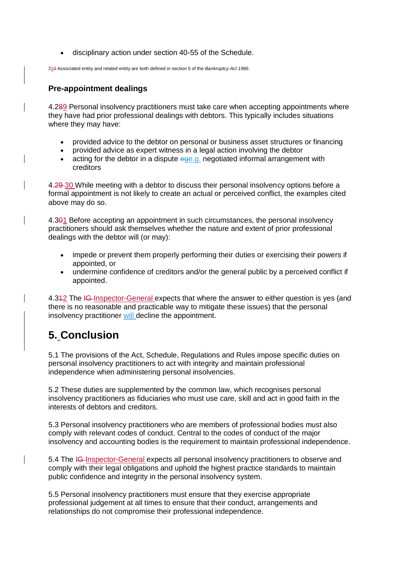disciplinary action under section 40-55 of the Schedule.

210 Associated entity and related entity are both defined in section 5 of the *Bankruptcy Act 1966*.

## **Pre-appointment dealings**

4.289 Personal insolvency practitioners must take care when accepting appointments where they have had prior professional dealings with debtors. This typically includes situations where they may have:

- provided advice to the debtor on personal or business asset structures or financing
- provided advice as expert witness in a legal action involving the debtor
- $\bullet$  acting for the debtor in a dispute  $eq$ e.g. negotiated informal arrangement with creditors

4.29 30 While meeting with a debtor to discuss their personal insolvency options before a formal appointment is not likely to create an actual or perceived conflict, the examples cited above may do so.

4.301 Before accepting an appointment in such circumstances, the personal insolvency practitioners should ask themselves whether the nature and extent of prior professional dealings with the debtor will (or may):

- impede or prevent them properly performing their duties or exercising their powers if appointed, or
- undermine confidence of creditors and/or the general public by a perceived conflict if appointed.

4.342 The IG-Inspector-General expects that where the answer to either question is yes (and there is no reasonable and practicable way to mitigate these issues) that the personal insolvency practitioner will decline the appointment.

# **5. Conclusion**

5.1 The provisions of the Act, Schedule, Regulations and Rules impose specific duties on personal insolvency practitioners to act with integrity and maintain professional independence when administering personal insolvencies.

5.2 These duties are supplemented by the common law, which recognises personal insolvency practitioners as fiduciaries who must use care, skill and act in good faith in the interests of debtors and creditors.

5.3 Personal insolvency practitioners who are members of professional bodies must also comply with relevant codes of conduct. Central to the codes of conduct of the major insolvency and accounting bodies is the requirement to maintain professional independence.

5.4 The IG Inspector-General expects all personal insolvency practitioners to observe and comply with their legal obligations and uphold the highest practice standards to maintain public confidence and integrity in the personal insolvency system.

5.5 Personal insolvency practitioners must ensure that they exercise appropriate professional judgement at all times to ensure that their conduct, arrangements and relationships do not compromise their professional independence.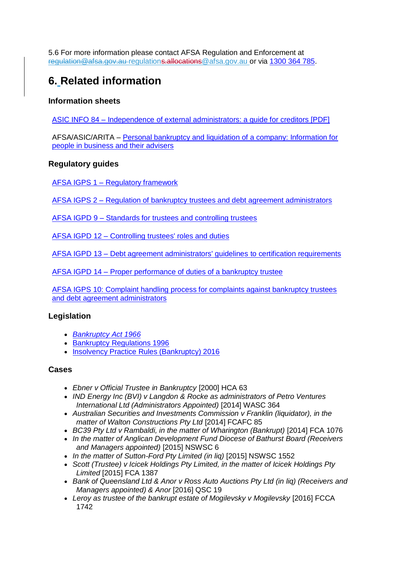5.6 For more information please contact AFSA Regulation and Enforcement at regulation@afsa.gov.au [regulations.allocations@afsa.gov.au o](mailto:regulation@afsa.gov.au)r via [1300 364 785.](tel:1300364785)

# **6. Related information**

### **Information sheets**

ASIC INFO 84 – Independence [of external administrators: a guide for creditors \[PDF\]](http://download.asic.gov.au/media/1338728/Independence_external_administrators_guide_for_creditors.pdf)

AFSA/ASIC/ARITA – [Personal bankruptcy and liquidation of a company: Information for](https://afsa.govcms.gov.au/sites/g/files/net1601/f/bankruptcyliquidationbrochure.pdf)  [people in business and their advisers](https://afsa.govcms.gov.au/sites/g/files/net1601/f/bankruptcyliquidationbrochure.pdf)

### **Regulatory guides**

AFSA IGPS 1 – [Regulatory framework](https://www.afsa.gov.au/about-us/practices/inspector-general-practice-statements/inspector-general-practice-statement-1-0)

AFSA IGPS 2 – [Regulation of bankruptcy trustees and debt agreement administrators](https://www.afsa.gov.au/about-us/practices/inspector-general-practice-statements/inspector-general-practice-statement-2)

AFSA IGPD 9 – [Standards for trustees and controlling trustees](https://www.afsa.gov.au/about-us/practices/inspector-general-practice-directions/d9-standards-trustees-and-controlling-trustees)

AFSA IGPD 12 – [Controlling trustees' roles and duties](https://www.afsa.gov.au/about-us/practices/inspector-general-practice-directions/inspector-general-practice-direction-12)

AFSA IGPD 13 – [Debt agreement administrators' guidelines](https://www.afsa.gov.au/about-us/practices/inspector-general-practice-directions/inspector-general-practice-direction-13) to certification requirements

AFSA IGPD 14 – [Proper performance of duties of a bankruptcy trustee](https://www.afsa.gov.au/about-us/practices/inspector-general-practice-directions/inspector-general-practice-direction-14)

[AFSA IGPS 10: Complaint handling process for complaints against bankruptcy trustees](https://www.afsa.gov.au/about-us/practices/inspector-general-practice-statements/inspector-general-practice-statement-10)  [and debt agreement administrators](https://www.afsa.gov.au/about-us/practices/inspector-general-practice-statements/inspector-general-practice-statement-10)

### **Legislation**

- *[Bankruptcy Act 1966](https://www.legislation.gov.au/current/C2017C00061)*
- **[Bankruptcy Regulations 1996](https://www.legislation.gov.au/current/F2010C00810)**
- [Insolvency Practice Rules \(Bankruptcy\) 2016](https://www.legislation.gov.au/Details/F2017C00699)

### **Cases**

- *Ebner v Official Trustee in Bankruptcy* [2000] HCA 63
- *IND Energy Inc (BVI) v Langdon & Rocke as administrators of Petro Ventures International Ltd (Administrators Appointed)* [2014] WASC 364
- *Australian Securities and Investments Commission v Franklin (liquidator), in the matter of Walton Constructions Pty Ltd* [2014] FCAFC 85
- **BC39 Pty Ltd v Rambaldi, in the matter of Wharington (Bankrupt) [2014] FCA 1076**
- *In the matter of Anglican Development Fund Diocese of Bathurst Board (Receivers and Managers appointed)* [2015] NSWSC 6
- In the matter of Sutton-Ford Pty Limited (in lig) [2015] NSWSC 1552
- *Scott (Trustee) v Icicek Holdings Pty Limited, in the matter of Icicek Holdings Pty Limited* [2015] FCA 1387
- *Bank of Queensland Ltd & Anor v Ross Auto Auctions Pty Ltd (in liq) (Receivers and Managers appointed) & Anor* [2016] QSC 19
- *Leroy as trustee of the bankrupt estate of Mogilevsky v Mogilevsky* [2016] FCCA 1742